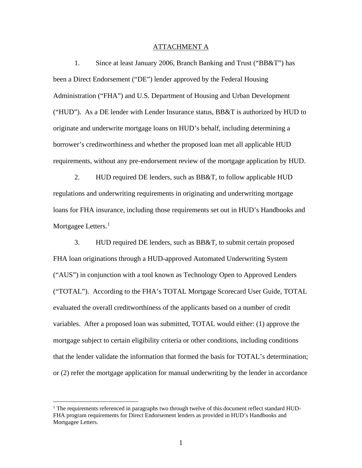## ATTACHMENT A

1. Since at least January 2006, Branch Banking and Trust ("BB&T") has been a Direct Endorsement ("DE") lender approved by the Federal Housing Administration ("FHA") and U.S. Department of Housing and Urban Development ("HUD"). As a DE lender with Lender Insurance status,  $BB&T$  is authorized by HUD to originate and underwrite mortgage loans on HUD's behalf, including determining a borrower's creditworthiness and whether the proposed loan met all applicable HUD requirements, without any pre-endorsement review of the mortgage application by HUD.

2. HUD required DE lenders, such as BB&T, to follow applicable HUD regulations and underwriting requirements in originating and underwriting mortgage loans for FHA insurance, including those requirements set out in HUD's Handbooks and Mortgagee Letters.<sup>[1](#page-0-0)</sup>

3. HUD required DE lenders, such as BB&T, to submit certain proposed FHA loan originations through a HUD-approved Automated Underwriting System ("AUS") in conjunction with a tool known as Technology Open to Approved Lenders ("TOTAL"). According to the FHA's TOTAL Mortgage Scorecard User Guide, TOTAL evaluated the overall creditworthiness of the applicants based on a number of credit variables. After a proposed loan was submitted, TOTAL would either: (1) approve the mortgage subject to certain eligibility criteria or other conditions, including conditions that the lender validate the information that formed the basis for TOTAL's determination; or (2) refer the mortgage application for manual underwriting by the lender in accordance

<span id="page-0-0"></span> $<sup>1</sup>$  The requirements referenced in paragraphs two through twelve of this document reflect standard HUD-</sup> FHA program requirements for Direct Endorsement lenders as provided in HUD's Handbooks and Mortgagee Letters.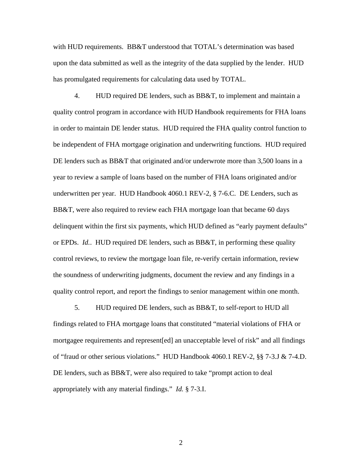with HUD requirements. BB&T understood that TOTAL's determination was based upon the data submitted as well as the integrity of the data supplied by the lender. HUD has promulgated requirements for calculating data used by TOTAL.

4. HUD required DE lenders, such as BB&T, to implement and maintain a quality control program in accordance with HUD Handbook requirements for FHA loans in order to maintain DE lender status. HUD required the FHA quality control function to be independent of FHA mortgage origination and underwriting functions. HUD required DE lenders such as BB&T that originated and/or underwrote more than 3,500 loans in a year to review a sample of loans based on the number of FHA loans originated and/or underwritten per year. HUD Handbook 4060.1 REV-2, § 7-6.C. DE Lenders, such as BB&T, were also required to review each FHA mortgage loan that became 60 days delinquent within the first six payments, which HUD defined as "early payment defaults" or EPDs. *Id.*. HUD required DE lenders, such as BB&T, in performing these quality control reviews, to review the mortgage loan file, re-verify certain information, review the soundness of underwriting judgments, document the review and any findings in a quality control report, and report the findings to senior management within one month.

5. HUD required DE lenders, such as BB&T, to self-report to HUD all findings related to FHA mortgage loans that constituted "material violations of FHA or mortgagee requirements and represent[ed] an unacceptable level of risk" and all findings of "fraud or other serious violations." HUD Handbook 4060.1 REV-2, §§ 7-3.J & 7-4.D. DE lenders, such as BB&T, were also required to take "prompt action to deal appropriately with any material findings." *Id.* § 7-3.I.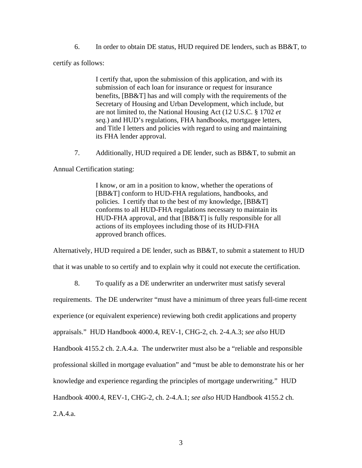6. In order to obtain DE status, HUD required DE lenders, such as BB&T, to

certify as follows:

I certify that, upon the submission of this application, and with its submission of each loan for insurance or request for insurance benefits, [BB&T] has and will comply with the requirements of the Secretary of Housing and Urban Development, which include, but are not limited to, the National Housing Act (12 U.S.C. § 1702 *et seq.*) and HUD's regulations, FHA handbooks, mortgagee letters, and Title I letters and policies with regard to using and maintaining its FHA lender approval.

7. Additionally, HUD required a DE lender, such as BB&T, to submit an

Annual Certification stating:

I know, or am in a position to know, whether the operations of [BB&T] conform to HUD-FHA regulations, handbooks, and policies. I certify that to the best of my knowledge, [BB&T] conforms to all HUD-FHA regulations necessary to maintain its HUD-FHA approval, and that [BB&T] is fully responsible for all actions of its employees including those of its HUD-FHA approved branch offices.

Alternatively, HUD required a DE lender, such as BB&T, to submit a statement to HUD

that it was unable to so certify and to explain why it could not execute the certification.

8. To qualify as a DE underwriter an underwriter must satisfy several

requirements. The DE underwriter "must have a minimum of three years full-time recent

experience (or equivalent experience) reviewing both credit applications and property

appraisals." HUD Handbook 4000.4, REV-1, CHG-2, ch. 2-4.A.3; *see also* HUD

Handbook 4155.2 ch. 2.A.4.a. The underwriter must also be a "reliable and responsible

professional skilled in mortgage evaluation" and "must be able to demonstrate his or her

knowledge and experience regarding the principles of mortgage underwriting." HUD

Handbook 4000.4, REV-1, CHG-2, ch. 2-4.A.1; *see also* HUD Handbook 4155.2 ch.

2.A.4.a.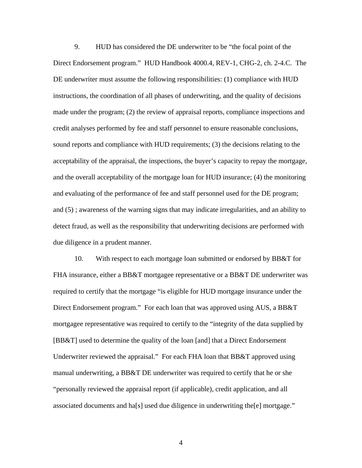9. HUD has considered the DE underwriter to be "the focal point of the Direct Endorsement program." HUD Handbook 4000.4, REV-1, CHG-2, ch. 2-4.C. The DE underwriter must assume the following responsibilities: (1) compliance with HUD instructions, the coordination of all phases of underwriting, and the quality of decisions made under the program; (2) the review of appraisal reports, compliance inspections and credit analyses performed by fee and staff personnel to ensure reasonable conclusions, sound reports and compliance with HUD requirements; (3) the decisions relating to the acceptability of the appraisal, the inspections, the buyer's capacity to repay the mortgage, and the overall acceptability of the mortgage loan for HUD insurance; (4) the monitoring and evaluating of the performance of fee and staff personnel used for the DE program; and (5) ; awareness of the warning signs that may indicate irregularities, and an ability to detect fraud, as well as the responsibility that underwriting decisions are performed with due diligence in a prudent manner.

10. With respect to each mortgage loan submitted or endorsed by BB&T for FHA insurance, either a BB&T mortgagee representative or a BB&T DE underwriter was required to certify that the mortgage "is eligible for HUD mortgage insurance under the Direct Endorsement program." For each loan that was approved using AUS, a BB&T mortgagee representative was required to certify to the "integrity of the data supplied by [BB&T] used to determine the quality of the loan [and] that a Direct Endorsement Underwriter reviewed the appraisal." For each FHA loan that BB&T approved using manual underwriting, a BB&T DE underwriter was required to certify that he or she "personally reviewed the appraisal report (if applicable), credit application, and all associated documents and ha[s] used due diligence in underwriting the[e] mortgage."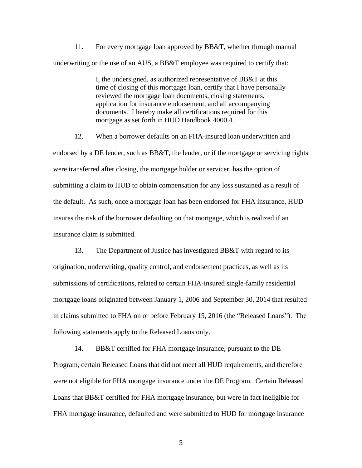11. For every mortgage loan approved by BB&T, whether through manual underwriting or the use of an AUS, a BB&T employee was required to certify that:

> I, the undersigned, as authorized representative of BB&T at this time of closing of this mortgage loan, certify that I have personally reviewed the mortgage loan documents, closing statements, application for insurance endorsement, and all accompanying documents. I hereby make all certifications required for this mortgage as set forth in HUD Handbook 4000.4.

12. When a borrower defaults on an FHA-insured loan underwritten and endorsed by a DE lender, such as BB&T, the lender, or if the mortgage or servicing rights were transferred after closing, the mortgage holder or servicer, has the option of submitting a claim to HUD to obtain compensation for any loss sustained as a result of the default. As such, once a mortgage loan has been endorsed for FHA insurance, HUD insures the risk of the borrower defaulting on that mortgage, which is realized if an insurance claim is submitted.

13. The Department of Justice has investigated BB&T with regard to its origination, underwriting, quality control, and endorsement practices, as well as its submissions of certifications, related to certain FHA-insured single-family residential mortgage loans originated between January 1, 2006 and September 30, 2014 that resulted in claims submitted to FHA on or before February 15, 2016 (the "Released Loans"). The following statements apply to the Released Loans only.

14. BB&T certified for FHA mortgage insurance, pursuant to the DE Program, certain Released Loans that did not meet all HUD requirements, and therefore were not eligible for FHA mortgage insurance under the DE Program. Certain Released Loans that BB&T certified for FHA mortgage insurance, but were in fact ineligible for FHA mortgage insurance, defaulted and were submitted to HUD for mortgage insurance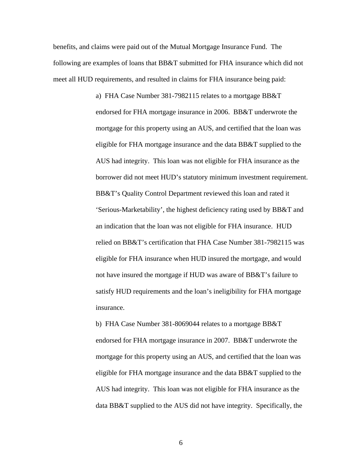benefits, and claims were paid out of the Mutual Mortgage Insurance Fund. The following are examples of loans that BB&T submitted for FHA insurance which did not meet all HUD requirements, and resulted in claims for FHA insurance being paid:

> a) FHA Case Number 381-7982115 relates to a mortgage BB&T endorsed for FHA mortgage insurance in 2006. BB&T underwrote the mortgage for this property using an AUS, and certified that the loan was eligible for FHA mortgage insurance and the data BB&T supplied to the AUS had integrity. This loan was not eligible for FHA insurance as the borrower did not meet HUD's statutory minimum investment requirement. BB&T's Quality Control Department reviewed this loan and rated it 'Serious-Marketability', the highest deficiency rating used by BB&T and an indication that the loan was not eligible for FHA insurance. HUD relied on BB&T's certification that FHA Case Number 381-7982115 was eligible for FHA insurance when HUD insured the mortgage, and would not have insured the mortgage if HUD was aware of BB&T's failure to satisfy HUD requirements and the loan's ineligibility for FHA mortgage insurance.

b) FHA Case Number 381-8069044 relates to a mortgage BB&T endorsed for FHA mortgage insurance in 2007. BB&T underwrote the mortgage for this property using an AUS, and certified that the loan was eligible for FHA mortgage insurance and the data BB&T supplied to the AUS had integrity. This loan was not eligible for FHA insurance as the data BB&T supplied to the AUS did not have integrity. Specifically, the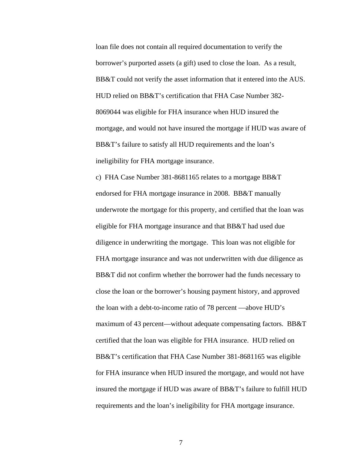loan file does not contain all required documentation to verify the borrower's purported assets (a gift) used to close the loan. As a result, BB&T could not verify the asset information that it entered into the AUS. HUD relied on BB&T's certification that FHA Case Number 382- 8069044 was eligible for FHA insurance when HUD insured the mortgage, and would not have insured the mortgage if HUD was aware of BB&T's failure to satisfy all HUD requirements and the loan's ineligibility for FHA mortgage insurance.

c) FHA Case Number 381-8681165 relates to a mortgage BB&T endorsed for FHA mortgage insurance in 2008. BB&T manually underwrote the mortgage for this property, and certified that the loan was eligible for FHA mortgage insurance and that BB&T had used due diligence in underwriting the mortgage. This loan was not eligible for FHA mortgage insurance and was not underwritten with due diligence as BB&T did not confirm whether the borrower had the funds necessary to close the loan or the borrower's housing payment history, and approved the loan with a debt-to-income ratio of 78 percent —above HUD's maximum of 43 percent—without adequate compensating factors. BB&T certified that the loan was eligible for FHA insurance. HUD relied on BB&T's certification that FHA Case Number 381-8681165 was eligible for FHA insurance when HUD insured the mortgage, and would not have insured the mortgage if HUD was aware of BB&T's failure to fulfill HUD requirements and the loan's ineligibility for FHA mortgage insurance.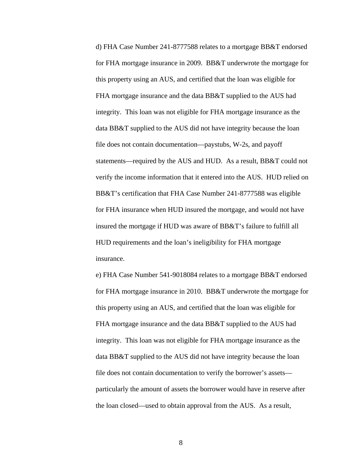d) FHA Case Number 241-8777588 relates to a mortgage BB&T endorsed for FHA mortgage insurance in 2009. BB&T underwrote the mortgage for this property using an AUS, and certified that the loan was eligible for FHA mortgage insurance and the data BB&T supplied to the AUS had integrity. This loan was not eligible for FHA mortgage insurance as the data BB&T supplied to the AUS did not have integrity because the loan file does not contain documentation—paystubs, W-2s, and payoff statements—required by the AUS and HUD. As a result, BB&T could not verify the income information that it entered into the AUS. HUD relied on BB&T's certification that FHA Case Number 241-8777588 was eligible for FHA insurance when HUD insured the mortgage, and would not have insured the mortgage if HUD was aware of BB&T's failure to fulfill all HUD requirements and the loan's ineligibility for FHA mortgage insurance.

e) FHA Case Number 541-9018084 relates to a mortgage BB&T endorsed for FHA mortgage insurance in 2010. BB&T underwrote the mortgage for this property using an AUS, and certified that the loan was eligible for FHA mortgage insurance and the data BB&T supplied to the AUS had integrity. This loan was not eligible for FHA mortgage insurance as the data BB&T supplied to the AUS did not have integrity because the loan file does not contain documentation to verify the borrower's assets particularly the amount of assets the borrower would have in reserve after the loan closed—used to obtain approval from the AUS. As a result,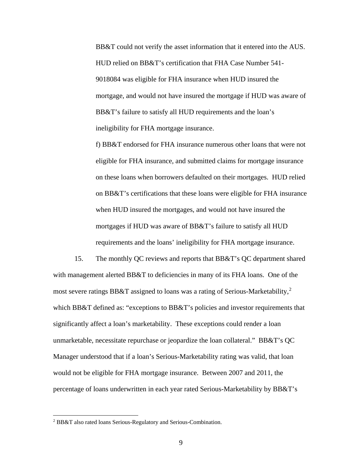BB&T could not verify the asset information that it entered into the AUS. HUD relied on BB&T's certification that FHA Case Number 541- 9018084 was eligible for FHA insurance when HUD insured the mortgage, and would not have insured the mortgage if HUD was aware of BB&T's failure to satisfy all HUD requirements and the loan's ineligibility for FHA mortgage insurance.

f) BB&T endorsed for FHA insurance numerous other loans that were not eligible for FHA insurance, and submitted claims for mortgage insurance on these loans when borrowers defaulted on their mortgages. HUD relied on BB&T's certifications that these loans were eligible for FHA insurance when HUD insured the mortgages, and would not have insured the mortgages if HUD was aware of BB&T's failure to satisfy all HUD requirements and the loans' ineligibility for FHA mortgage insurance.

15. The monthly QC reviews and reports that BB&T's QC department shared with management alerted BB&T to deficiencies in many of its FHA loans. One of the most severe ratings BB&T assigned to loans was a rating of Serious-Marketability,<sup>[2](#page-8-0)</sup> which BB&T defined as: "exceptions to BB&T's policies and investor requirements that significantly affect a loan's marketability. These exceptions could render a loan unmarketable, necessitate repurchase or jeopardize the loan collateral." BB&T's QC Manager understood that if a loan's Serious-Marketability rating was valid, that loan would not be eligible for FHA mortgage insurance. Between 2007 and 2011, the percentage of loans underwritten in each year rated Serious-Marketability by BB&T's

<span id="page-8-0"></span> <sup>2</sup> BB&T also rated loans Serious-Regulatory and Serious-Combination.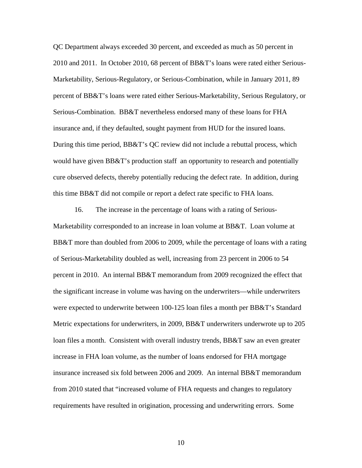QC Department always exceeded 30 percent, and exceeded as much as 50 percent in 2010 and 2011. In October 2010, 68 percent of BB&T's loans were rated either Serious-Marketability, Serious-Regulatory, or Serious-Combination, while in January 2011, 89 percent of BB&T's loans were rated either Serious-Marketability, Serious Regulatory, or Serious-Combination. BB&T nevertheless endorsed many of these loans for FHA insurance and, if they defaulted, sought payment from HUD for the insured loans. During this time period, BB&T's QC review did not include a rebuttal process, which would have given BB&T's production staff an opportunity to research and potentially cure observed defects, thereby potentially reducing the defect rate. In addition, during this time BB&T did not compile or report a defect rate specific to FHA loans.

16. The increase in the percentage of loans with a rating of Serious-Marketability corresponded to an increase in loan volume at BB&T. Loan volume at BB&T more than doubled from 2006 to 2009, while the percentage of loans with a rating of Serious-Marketability doubled as well, increasing from 23 percent in 2006 to 54 percent in 2010. An internal BB&T memorandum from 2009 recognized the effect that the significant increase in volume was having on the underwriters—while underwriters were expected to underwrite between 100-125 loan files a month per BB&T's Standard Metric expectations for underwriters, in 2009, BB&T underwriters underwrote up to 205 loan files a month. Consistent with overall industry trends, BB&T saw an even greater increase in FHA loan volume, as the number of loans endorsed for FHA mortgage insurance increased six fold between 2006 and 2009. An internal BB&T memorandum from 2010 stated that "increased volume of FHA requests and changes to regulatory requirements have resulted in origination, processing and underwriting errors. Some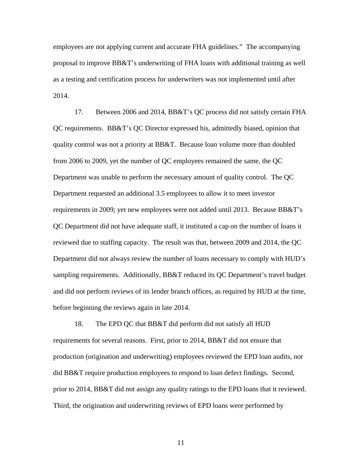employees are not applying current and accurate FHA guidelines." The accompanying proposal to improve BB&T's underwriting of FHA loans with additional training as well as a testing and certification process for underwriters was not implemented until after 2014.

17. Between 2006 and 2014, BB&T's QC process did not satisfy certain FHA QC requirements. BB&T's QC Director expressed his, admittedly biased, opinion that quality control was not a priority at BB&T. Because loan volume more than doubled from 2006 to 2009, yet the number of QC employees remained the same, the QC Department was unable to perform the necessary amount of quality control. The QC Department requested an additional 3.5 employees to allow it to meet investor requirements in 2009; yet new employees were not added until 2013. Because BB&T's QC Department did not have adequate staff, it instituted a cap on the number of loans it reviewed due to staffing capacity. The result was that, between 2009 and 2014, the QC Department did not always review the number of loans necessary to comply with HUD's sampling requirements. Additionally, BB&T reduced its QC Department's travel budget and did not perform reviews of its lender branch offices, as required by HUD at the time, before beginning the reviews again in late 2014.

18. The EPD QC that BB&T did perform did not satisfy all HUD requirements for several reasons. First, prior to 2014, BB&T did not ensure that production (origination and underwriting) employees reviewed the EPD loan audits, nor did BB&T require production employees to respond to loan defect findings. Second, prior to 2014, BB&T did not assign any quality ratings to the EPD loans that it reviewed. Third, the origination and underwriting reviews of EPD loans were performed by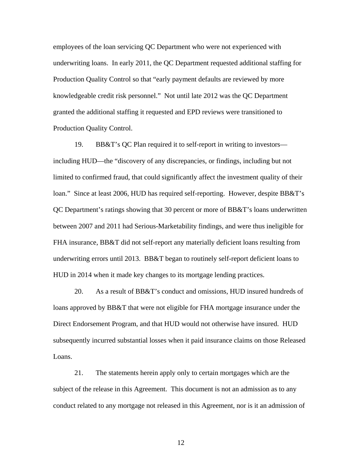employees of the loan servicing QC Department who were not experienced with underwriting loans. In early 2011, the QC Department requested additional staffing for Production Quality Control so that "early payment defaults are reviewed by more knowledgeable credit risk personnel." Not until late 2012 was the QC Department granted the additional staffing it requested and EPD reviews were transitioned to Production Quality Control.

19. BB&T's QC Plan required it to self-report in writing to investors including HUD—the "discovery of any discrepancies, or findings, including but not limited to confirmed fraud, that could significantly affect the investment quality of their loan." Since at least 2006, HUD has required self-reporting. However, despite BB&T's QC Department's ratings showing that 30 percent or more of BB&T's loans underwritten between 2007 and 2011 had Serious-Marketability findings, and were thus ineligible for FHA insurance, BB&T did not self-report any materially deficient loans resulting from underwriting errors until 2013. BB&T began to routinely self-report deficient loans to HUD in 2014 when it made key changes to its mortgage lending practices.

20. As a result of BB&T's conduct and omissions, HUD insured hundreds of loans approved by BB&T that were not eligible for FHA mortgage insurance under the Direct Endorsement Program, and that HUD would not otherwise have insured. HUD subsequently incurred substantial losses when it paid insurance claims on those Released Loans.

21. The statements herein apply only to certain mortgages which are the subject of the release in this Agreement. This document is not an admission as to any conduct related to any mortgage not released in this Agreement, nor is it an admission of